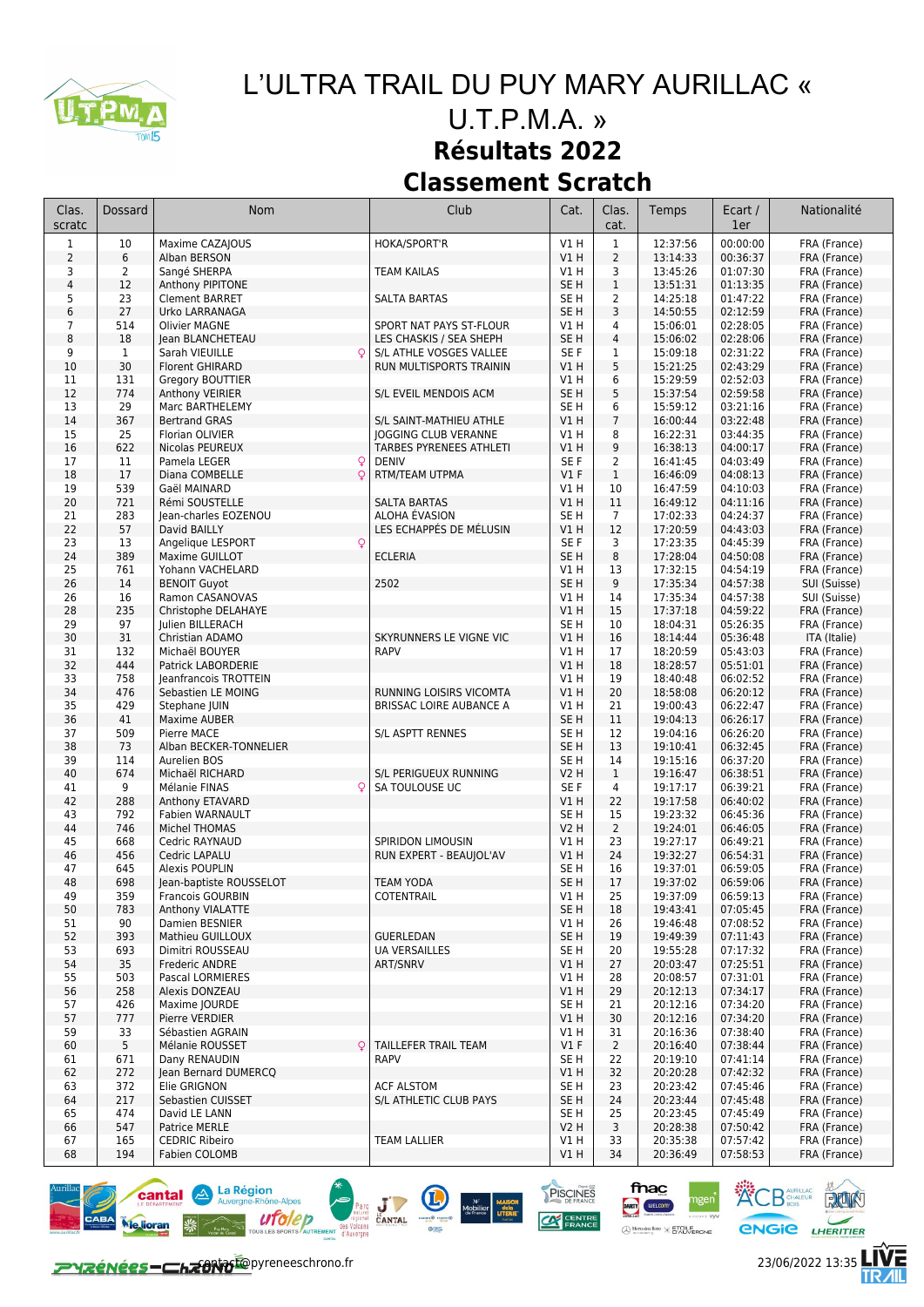

## *L'ULTRA TRAIL DU PUY MARY AURILLAC «*

## *U.T.P.M.A. »* **Résultats 2022 Classement Scratch**

| Clas.<br>scratc         | Dossard        | Nom                                    | Club                             | Cat.                               | Clas.<br>cat.                  | Temps                | Ecart /<br>1er       | Nationalité                  |
|-------------------------|----------------|----------------------------------------|----------------------------------|------------------------------------|--------------------------------|----------------------|----------------------|------------------------------|
| 1                       | 10             | Maxime CAZAJOUS                        | HOKA/SPORT'R                     | V1 H                               | $1\,$                          | 12:37:56             | 00:00:00             | FRA (France)                 |
| $\overline{2}$          | 6              | Alban BERSON                           |                                  | V1H                                | $\overline{2}$                 | 13:14:33             | 00:36:37             | FRA (France)                 |
| 3                       | $\overline{2}$ | Sangé SHERPA                           | <b>TEAM KAILAS</b>               | V1 H                               | 3                              | 13:45:26             | 01:07:30             | FRA (France)                 |
| $\overline{\mathbf{4}}$ | 12             | Anthony PIPITONE                       |                                  | SE <sub>H</sub>                    | $\mathbf{1}$                   | 13:51:31             | 01:13:35             | FRA (France)                 |
| 5                       | 23             | <b>Clement BARRET</b>                  | <b>SALTA BARTAS</b>              | SE <sub>H</sub>                    | $\overline{2}$                 | 14:25:18             | 01:47:22             | FRA (France)                 |
| 6                       | 27             | Urko LARRANAGA                         |                                  | SE <sub>H</sub>                    | 3                              | 14:50:55             | 02:12:59             | FRA (France)                 |
| 7                       | 514            | <b>Olivier MAGNE</b>                   | SPORT NAT PAYS ST-FLOUR          | V1 H                               | 4                              | 15:06:01             | 02:28:05             | FRA (France)                 |
| 8                       | 18             | Jean BLANCHETEAU                       | LES CHASKIS / SEA SHEPH          | SE <sub>H</sub>                    | $\overline{4}$                 | 15:06:02             | 02:28:06             | FRA (France)                 |
| 9                       | $\mathbf 1$    | Sarah VIEUILLE<br>$\mathsf{Q}$         | S/L ATHLE VOSGES VALLEE          | SE F                               | 1                              | 15:09:18             | 02:31:22             | FRA (France)                 |
| 10                      | 30             | <b>Florent GHIRARD</b>                 | RUN MULTISPORTS TRAININ          | VIH                                | 5                              | 15:21:25             | 02:43:29             | FRA (France)                 |
| 11<br>12                | 131<br>774     | Gregory BOUTTIER                       | S/L EVEIL MENDOIS ACM            | V1 H<br>SE <sub>H</sub>            | 6<br>5                         | 15:29:59<br>15:37:54 | 02:52:03<br>02:59:58 | FRA (France)<br>FRA (France) |
| 13                      | 29             | Anthony VEIRIER<br>Marc BARTHELEMY     |                                  | SE <sub>H</sub>                    | 6                              | 15:59:12             | 03:21:16             | FRA (France)                 |
| 14                      | 367            | <b>Bertrand GRAS</b>                   | S/L SAINT-MATHIEU ATHLE          | V1H                                | $\overline{7}$                 | 16:00:44             | 03:22:48             | FRA (France)                 |
| 15                      | 25             | Florian OLIVIER                        | JOGGING CLUB VERANNE             | V1 H                               | 8                              | 16:22:31             | 03:44:35             | FRA (France)                 |
| 16                      | 622            | Nicolas PEUREUX                        | TARBES PYRENEES ATHLETI          | V1H                                | 9                              | 16:38:13             | 04:00:17             | FRA (France)                 |
| 17                      | 11             | Pamela LEGER<br>Q                      | <b>DENIV</b>                     | SE <sub>F</sub>                    | $\overline{2}$                 | 16:41:45             | 04:03:49             | FRA (France)                 |
| 18                      | 17             | Diana COMBELLE<br>$\circ$              | RTM/TEAM UTPMA                   | $VI$ F                             | $\mathbf{1}$                   | 16:46:09             | 04:08:13             | FRA (France)                 |
| 19                      | 539            | Gaël MAINARD                           |                                  | V1 H                               | 10                             | 16:47:59             | 04:10:03             | FRA (France)                 |
| 20                      | 721            | Rémi SOUSTELLE                         | <b>SALTA BARTAS</b>              | V1H                                | 11                             | 16:49:12             | 04:11:16             | FRA (France)                 |
| 21                      | 283            | Jean-charles EOZENOU                   | ALOHA ÉVASION                    | SE <sub>H</sub>                    | $\overline{7}$                 | 17:02:33             | 04:24:37             | FRA (France)                 |
| 22                      | 57             | David BAILLY                           | LES ECHAPPÉS DE MÉLUSIN          | VIH                                | 12                             | 17:20:59             | 04:43:03             | FRA (France)                 |
| 23                      | 13             | Angelique LESPORT<br>Q                 |                                  | SE F                               | 3                              | 17:23:35             | 04:45:39             | FRA (France)                 |
| 24                      | 389            | Maxime GUILLOT                         | <b>ECLERIA</b>                   | SE <sub>H</sub>                    | 8                              | 17:28:04             | 04:50:08             | FRA (France)                 |
| 25                      | 761<br>14      | Yohann VACHELARD                       | 2502                             | V1 H<br>SE <sub>H</sub>            | 13                             | 17:32:15             | 04:54:19<br>04:57:38 | FRA (France)                 |
| 26<br>26                | 16             | <b>BENOIT Guyot</b><br>Ramon CASANOVAS |                                  | V1 H                               | 9<br>14                        | 17:35:34<br>17:35:34 | 04:57:38             | SUI (Suisse)<br>SUI (Suisse) |
| 28                      | 235            | Christophe DELAHAYE                    |                                  | VIH                                | 15                             | 17:37:18             | 04:59:22             | FRA (France)                 |
| 29                      | 97             | Julien BILLERACH                       |                                  | SE <sub>H</sub>                    | 10                             | 18:04:31             | 05:26:35             | FRA (France)                 |
| 30                      | 31             | Christian ADAMO                        | SKYRUNNERS LE VIGNE VIC          | VIH                                | 16                             | 18:14:44             | 05:36:48             | ITA (Italie)                 |
| 31                      | 132            | Michaël BOUYER                         | <b>RAPV</b>                      | V1 H                               | 17                             | 18:20:59             | 05:43:03             | FRA (France)                 |
| 32                      | 444            | Patrick LABORDERIE                     |                                  | V1H                                | 18                             | 18:28:57             | 05:51:01             | FRA (France)                 |
| 33                      | 758            | Jeanfrancois TROTTEIN                  |                                  | V1H                                | 19                             | 18:40:48             | 06:02:52             | FRA (France)                 |
| 34                      | 476            | Sebastien LE MOING                     | RUNNING LOISIRS VICOMTA          | V1H                                | 20                             | 18:58:08             | 06:20:12             | FRA (France)                 |
| 35                      | 429            | Stephane JUIN                          | <b>BRISSAC LOIRE AUBANCE A</b>   | V1 H                               | 21                             | 19:00:43             | 06:22:47             | FRA (France)                 |
| 36                      | 41             | Maxime AUBER                           |                                  | SE <sub>H</sub>                    | 11                             | 19:04:13             | 06:26:17             | FRA (France)                 |
| 37                      | 509            | Pierre MACE                            | S/L ASPTT RENNES                 | SE H                               | 12                             | 19:04:16             | 06:26:20             | FRA (France)                 |
| 38                      | 73             | Alban BECKER-TONNELIER                 |                                  | SE H                               | 13                             | 19:10:41             | 06:32:45             | FRA (France)                 |
| 39<br>40                | 114<br>674     | Aurelien BOS                           | S/L PERIGUEUX RUNNING            | SE <sub>H</sub>                    | 14                             | 19:15:16             | 06:37:20<br>06:38:51 | FRA (France)                 |
| 41                      | 9              | Michaël RICHARD<br>Mélanie FINAS<br>Q  | SA TOULOUSE UC                   | V2 H<br>SE <sub>F</sub>            | $\mathbf{1}$<br>$\overline{4}$ | 19:16:47<br>19:17:17 | 06:39:21             | FRA (France)<br>FRA (France) |
| 42                      | 288            | Anthony ETAVARD                        |                                  | VIH                                | 22                             | 19:17:58             | 06:40:02             | FRA (France)                 |
| 43                      | 792            | Fabien WARNAULT                        |                                  | SE <sub>H</sub>                    | 15                             | 19:23:32             | 06:45:36             | FRA (France)                 |
| 44                      | 746            | Michel THOMAS                          |                                  | <b>V2 H</b>                        | $\overline{2}$                 | 19:24:01             | 06:46:05             | FRA (France)                 |
| 45                      | 668            | Cedric RAYNAUD                         | SPIRIDON LIMOUSIN                | V1 H                               | 23                             | 19:27:17             | 06:49:21             | FRA (France)                 |
| 46                      | 456            | Cedric LAPALU                          | RUN EXPERT - BEAUJOL'AV          | VIH                                | 24                             | 19:32:27             | 06:54:31             | FRA (France)                 |
| 47                      | 645            | Alexis POUPLIN                         |                                  | SE <sub>H</sub>                    | 16                             | 19:37:01             | 06:59:05             | FRA (France)                 |
| 48                      | 698            | Jean-baptiste ROUSSELOT                | <b>TEAM YODA</b>                 | SE <sub>H</sub>                    | 17                             | 19:37:02             | 06:59:06             | FRA (France)                 |
| 49                      | 359            | <b>Francois GOURBIN</b>                | COTENTRAIL                       | V1 H                               | 25                             | 19:37:09             | 06:59:13             | FRA (France)                 |
| 50                      | 783            | Anthony VIALATTE                       |                                  | SE H                               | 18                             | 19:43:41             | 07:05:45             | FRA (France)                 |
| 51                      | 90             | Damien BESNIER                         |                                  | V1 H                               | 26                             | 19:46:48             | 07:08:52             | FRA (France)                 |
| 52                      | 393<br>693     | Mathieu GUILLOUX                       | <b>GUERLEDAN</b>                 | SE <sub>H</sub><br>SE <sub>H</sub> | 19                             | 19:49:39             | 07:11:43             | FRA (France)                 |
| 53<br>54                | 35             | Dimitri ROUSSEAU<br>Frederic ANDRE     | <b>UA VERSAILLES</b><br>ART/SNRV | V1 H                               | 20<br>27                       | 19:55:28<br>20:03:47 | 07:17:32<br>07:25:51 | FRA (France)<br>FRA (France) |
| 55                      | 503            | Pascal LORMIERES                       |                                  | V1 H                               | 28                             | 20:08:57             | 07:31:01             | FRA (France)                 |
| 56                      | 258            | Alexis DONZEAU                         |                                  | V1H                                | 29                             | 20:12:13             | 07:34:17             | FRA (France)                 |
| 57                      | 426            | Maxime JOURDE                          |                                  | SE <sub>H</sub>                    | 21                             | 20:12:16             | 07:34:20             | FRA (France)                 |
| 57                      | 777            | Pierre VERDIER                         |                                  | V1 H                               | 30                             | 20:12:16             | 07:34:20             | FRA (France)                 |
| 59                      | 33             | Sébastien AGRAIN                       |                                  | V1 H                               | 31                             | 20:16:36             | 07:38:40             | FRA (France)                 |
| 60                      | 5              | Mélanie ROUSSET                        | TAILLEFER TRAIL TEAM             | $VI$ F                             | $\overline{2}$                 | 20:16:40             | 07:38:44             | FRA (France)                 |
| 61                      | 671            | Dany RENAUDIN                          | <b>RAPV</b>                      | SE H                               | 22                             | 20:19:10             | 07:41:14             | FRA (France)                 |
| 62                      | 272            | lean Bernard DUMERCQ                   |                                  | V1 H                               | 32                             | 20:20:28             | 07:42:32             | FRA (France)                 |
| 63                      | 372            | Elie GRIGNON                           | <b>ACF ALSTOM</b>                | SE H                               | 23                             | 20:23:42             | 07:45:46             | FRA (France)                 |
| 64                      | 217            | Sebastien CUISSET                      | S/L ATHLETIC CLUB PAYS           | SE H                               | 24                             | 20:23:44             | 07:45:48             | FRA (France)                 |
| 65                      | 474            | David LE LANN                          |                                  | SE H                               | 25                             | 20:23:45             | 07:45:49             | FRA (France)                 |
| 66                      | 547            | Patrice MERLE                          | <b>TEAM LALLIER</b>              | <b>V2 H</b>                        | 3                              | 20:28:38             | 07:50:42             | FRA (France)                 |
| 67<br>68                | 165<br>194     | <b>CEDRIC Ribeiro</b><br>Fabien COLOMB |                                  | V1 H<br>V1H                        | 33<br>34                       | 20:35:38<br>20:36:49 | 07:57:42<br>07:58:53 | FRA (France)<br>FRA (France) |
|                         |                |                                        |                                  |                                    |                                |                      |                      |                              |



**PYZÉNÉES-CHZONOTO**pyreneeschrono.fr 23/06/2022 13:35



**KCB** GHALEUR **ROW** 

**ENGIE LHERITIER** 

fnac

DARTY WELCOM

 $\bigoplus_{n \text{ vertices of } \mathsf{R}\text{-}\mathsf{mx}} \mathsf{METOLERONE}$ 

PISCINES

 $C<sup>2</sup>$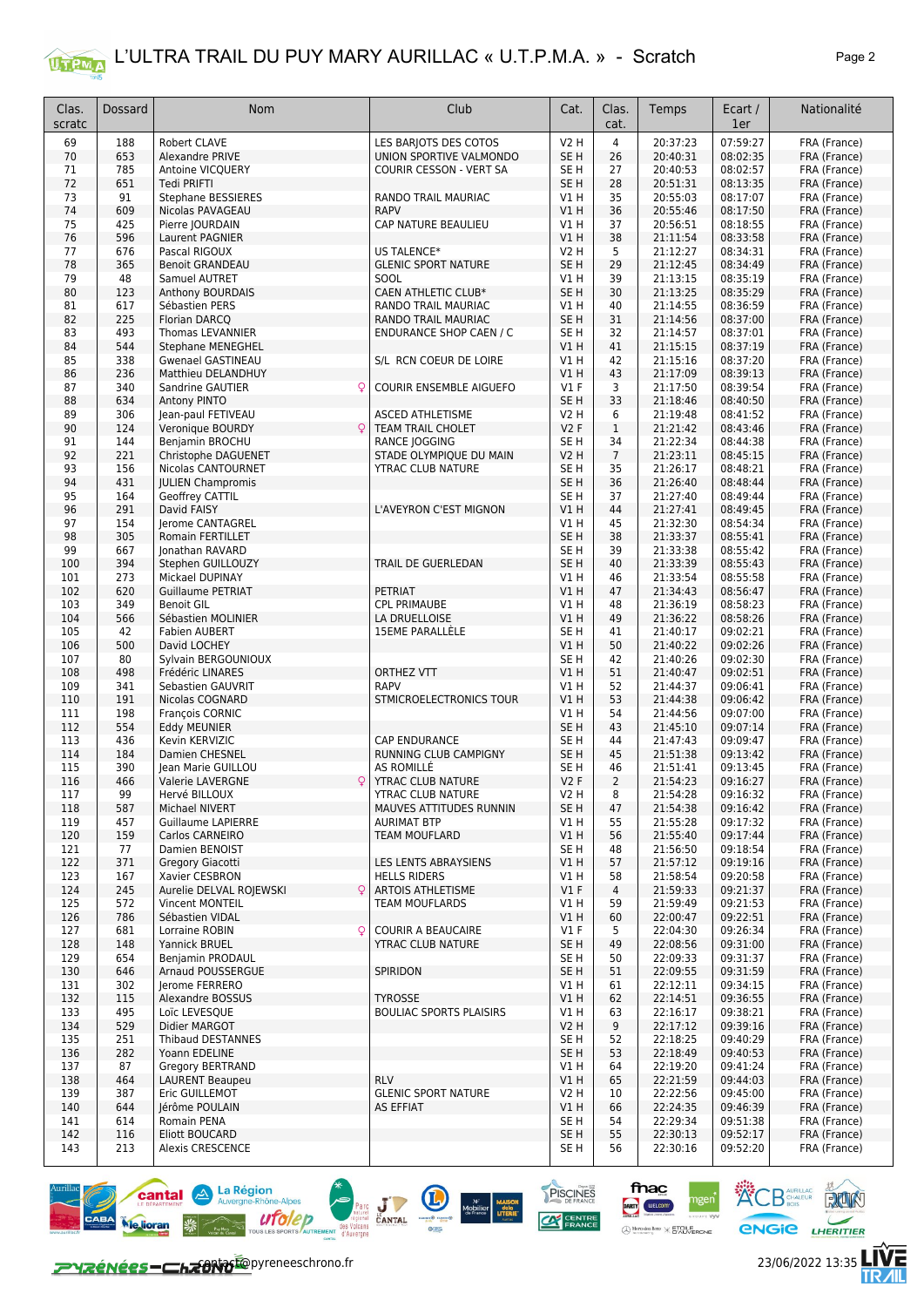

| Clas.<br>scratc | Dossard    | Nom                                         | Club                                        | Cat.                    | Clas.<br>cat.  | Temps                | Ecart /<br>1er       | Nationalité                  |
|-----------------|------------|---------------------------------------------|---------------------------------------------|-------------------------|----------------|----------------------|----------------------|------------------------------|
| 69              | 188        | Robert CLAVE                                | LES BARJOTS DES COTOS                       | <b>V2 H</b>             | $\overline{4}$ | 20:37:23             | 07:59:27             | FRA (France)                 |
| 70              | 653        | Alexandre PRIVE                             | UNION SPORTIVE VALMONDO                     | SE <sub>H</sub>         | 26             | 20:40:31             | 08:02:35             | FRA (France)                 |
| 71              | 785        | Antoine VICQUERY                            | COURIR CESSON - VERT SA                     | SE H                    | 27             | 20:40:53             | 08:02:57             | FRA (France)                 |
| 72              | 651        | Tedi PRIFTI                                 |                                             | SE <sub>H</sub>         | 28             | 20:51:31             | 08:13:35             | FRA (France)                 |
| 73              | 91         | <b>Stephane BESSIERES</b>                   | RANDO TRAIL MAURIAC                         | V1 H                    | 35             | 20:55:03             | 08:17:07             | FRA (France)                 |
| 74              | 609        | Nicolas PAVAGEAU                            | <b>RAPV</b>                                 | <b>V1 H</b>             | 36             | 20:55:46             | 08:17:50             | FRA (France)                 |
| 75<br>76        | 425<br>596 | Pierre JOURDAIN<br>Laurent PAGNIER          | CAP NATURE BEAULIEU                         | V1 H<br><b>V1 H</b>     | 37<br>38       | 20:56:51<br>21:11:54 | 08:18:55<br>08:33:58 | FRA (France)<br>FRA (France) |
| 77              | 676        | Pascal RIGOUX                               | <b>US TALENCE*</b>                          | V2 H                    | 5              | 21:12:27             | 08:34:31             | FRA (France)                 |
| 78              | 365        | <b>Benoit GRANDEAU</b>                      | <b>GLENIC SPORT NATURE</b>                  | SE <sub>H</sub>         | 29             | 21:12:45             | 08:34:49             | FRA (France)                 |
| 79              | 48         | Samuel AUTRET                               | SOOL                                        | V1 H                    | 39             | 21:13:15             | 08:35:19             | FRA (France)                 |
| 80              | 123        | <b>Anthony BOURDAIS</b>                     | <b>CAEN ATHLETIC CLUB*</b>                  | SE <sub>H</sub>         | 30             | 21:13:25             | 08:35:29             | FRA (France)                 |
| 81              | 617        | Sébastien PERS                              | RANDO TRAIL MAURIAC                         | V1H                     | 40             | 21:14:55             | 08:36:59             | FRA (France)                 |
| 82              | 225        | Florian DARCQ                               | <b>RANDO TRAIL MAURIAC</b>                  | SE <sub>H</sub>         | 31             | 21:14:56             | 08:37:00             | FRA (France)                 |
| 83              | 493        | Thomas LEVANNIER                            | <b>ENDURANCE SHOP CAEN / C</b>              | SE H                    | 32             | 21:14:57             | 08:37:01             | FRA (France)                 |
| 84              | 544        | <b>Stephane MENEGHEL</b>                    |                                             | VIH                     | 41             | 21:15:15             | 08:37:19             | FRA (France)                 |
| 85              | 338<br>236 | <b>Gwenael GASTINEAU</b>                    | S/L RCN COEUR DE LOIRE                      | V1 H                    | 42<br>43       | 21:15:16             | 08:37:20<br>08:39:13 | FRA (France)                 |
| 86<br>87        | 340        | Matthieu DELANDHUY<br>Sandrine GAUTIER<br>Q | COURIR ENSEMBLE AIGUEFO                     | <b>V1 H</b><br>$VI$ F   | 3              | 21:17:09<br>21:17:50 | 08:39:54             | FRA (France)<br>FRA (France) |
| 88              | 634        | Antony PINTO                                |                                             | SE <sub>H</sub>         | 33             | 21:18:46             | 08:40:50             | FRA (France)                 |
| 89              | 306        | Jean-paul FETIVEAU                          | ASCED ATHLETISME                            | V2 H                    | 6              | 21:19:48             | 08:41:52             | FRA (France)                 |
| 90              | 124        | Q<br>Veronique BOURDY                       | <b>TEAM TRAIL CHOLET</b>                    | <b>V2F</b>              | $\mathbf{1}$   | 21:21:42             | 08:43:46             | FRA (France)                 |
| 91              | 144        | Benjamin BROCHU                             | RANCE JOGGING                               | SE H                    | 34             | 21:22:34             | 08:44:38             | FRA (France)                 |
| 92              | 221        | Christophe DAGUENET                         | STADE OLYMPIQUE DU MAIN                     | V2 H                    | $\overline{7}$ | 21:23:11             | 08:45:15             | FRA (France)                 |
| 93              | 156        | Nicolas CANTOURNET                          | <b>YTRAC CLUB NATURE</b>                    | SE <sub>H</sub>         | 35             | 21:26:17             | 08:48:21             | FRA (France)                 |
| 94              | 431        | <b>JULIEN Champromis</b>                    |                                             | SE <sub>H</sub>         | 36             | 21:26:40             | 08:48:44             | FRA (France)                 |
| 95              | 164        | Geoffrey CATTIL                             |                                             | SE H                    | 37             | 21:27:40             | 08:49:44             | FRA (France)                 |
| 96              | 291        | David FAISY                                 | L'AVEYRON C'EST MIGNON                      | V1 H                    | 44             | 21:27:41             | 08:49:45             | FRA (France)                 |
| 97              | 154        | Jerome CANTAGREL                            |                                             | V1 H                    | 45             | 21:32:30             | 08:54:34             | FRA (France)                 |
| 98              | 305        | Romain FERTILLET                            |                                             | SE <sub>H</sub>         | 38             | 21:33:37             | 08:55:41             | FRA (France)                 |
| 99<br>100       | 667<br>394 | Jonathan RAVARD<br>Stephen GUILLOUZY        | TRAIL DE GUERLEDAN                          | SE H<br>SE <sub>H</sub> | 39<br>40       | 21:33:38<br>21:33:39 | 08:55:42<br>08:55:43 | FRA (France)<br>FRA (France) |
| 101             | 273        | Mickael DUPINAY                             |                                             | V1 H                    | 46             | 21:33:54             | 08:55:58             | FRA (France)                 |
| 102             | 620        | <b>Guillaume PETRIAT</b>                    | PETRIAT                                     | <b>V1 H</b>             | 47             | 21:34:43             | 08:56:47             | FRA (France)                 |
| 103             | 349        | <b>Benoit GIL</b>                           | <b>CPL PRIMAUBE</b>                         | V1 H                    | 48             | 21:36:19             | 08:58:23             | FRA (France)                 |
| 104             | 566        | Sébastien MOLINIER                          | LA DRUELLOISE                               | V1H                     | 49             | 21:36:22             | 08:58:26             | FRA (France)                 |
| 105             | 42         | <b>Fabien AUBERT</b>                        | <b>15EME PARALLÈLE</b>                      | SE <sub>H</sub>         | 41             | 21:40:17             | 09:02:21             | FRA (France)                 |
| 106             | 500        | David LOCHEY                                |                                             | VIH                     | 50             | 21:40:22             | 09:02:26             | FRA (France)                 |
| 107             | 80         | Sylvain BERGOUNIOUX                         |                                             | SE H                    | 42             | 21:40:26             | 09:02:30             | FRA (France)                 |
| 108             | 498        | Frédéric LINARES                            | <b>ORTHEZ VTT</b>                           | VIH                     | 51             | 21:40:47             | 09:02:51             | FRA (France)                 |
| 109             | 341        | Sebastien GAUVRIT                           | <b>RAPV</b>                                 | V1 H                    | 52             | 21:44:37             | 09:06:41             | FRA (France)                 |
| 110             | 191<br>198 | Nicolas COGNARD                             | STMICROELECTRONICS TOUR                     | <b>V1 H</b><br>VIH      | 53<br>54       | 21:44:38<br>21:44:56 | 09:06:42<br>09:07:00 | FRA (France)                 |
| 111<br>112      | 554        | François CORNIC<br>Eddy MEUNIER             |                                             | SE <sub>H</sub>         | 43             | 21:45:10             | 09:07:14             | FRA (France)<br>FRA (France) |
| 113             | 436        | Kevin KERVIZIC                              | <b>CAP ENDURANCE</b>                        | SE H                    | 44             | 21:47:43             | 09:09:47             | FRA (France)                 |
| 114             | 184        | Damien CHESNEL                              | RUNNING CLUB CAMPIGNY                       | SE <sub>H</sub>         | 45             | 21:51:38             | 09:13:42             | FRA (France)                 |
| 115             | 390        | Jean Marie GUILLOU                          | AS ROMILLE                                  | SE H                    | 46             | 21:51:41             | 09:13:45             | FRA (France)                 |
| 116             | 466        | Q<br><b>Valerie LAVERGNE</b>                | YTRAC CLUB NATURE                           | <b>V2F</b>              | $\overline{2}$ | 21:54:23             | 09:16:27             | FRA (France)                 |
| 117             | 99         | Hervé BILLOUX                               | YTRAC CLUB NATURE                           | V2 H                    | 8              | 21:54:28             | 09:16:32             | FRA (France)                 |
| 118             | 587        | Michael NIVERT                              | MAUVES ATTITUDES RUNNIN                     | SE <sub>H</sub>         | 47             | 21:54:38             | 09:16:42             | FRA (France)                 |
| 119             | 457        | Guillaume LAPIERRE                          | <b>AURIMAT BTP</b>                          | V1 H                    | 55             | 21:55:28             | 09:17:32             | FRA (France)                 |
| 120             | 159        | Carlos CARNEIRO                             | <b>TEAM MOUFLARD</b>                        | V1 H                    | 56             | 21:55:40             | 09:17:44             | FRA (France)                 |
| 121             | 77         | Damien BENOIST<br>Gregory Giacotti          |                                             | SE H                    | 48             | 21:56:50<br>21:57:12 | 09:18:54             | FRA (France)                 |
| 122<br>123      | 371<br>167 | Xavier CESBRON                              | LES LENTS ABRAYSIENS<br><b>HELLS RIDERS</b> | V1 H<br>V1 H            | 57<br>58       | 21:58:54             | 09:19:16<br>09:20:58 | FRA (France)<br>FRA (France) |
| 124             | 245        | Aurelie DELVAL ROJEWSKI<br>$\mathsf{Q}$     | <b>ARTOIS ATHLETISME</b>                    | $VI$ F                  | 4              | 21:59:33             | 09:21:37             | FRA (France)                 |
| 125             | 572        | Vincent MONTEIL                             | <b>TEAM MOUFLARDS</b>                       | V1 H                    | 59             | 21:59:49             | 09:21:53             | FRA (France)                 |
| 126             | 786        | Sébastien VIDAL                             |                                             | VIH                     | 60             | 22:00:47             | 09:22:51             | FRA (France)                 |
| 127             | 681        | Lorraine ROBIN<br>Q                         | <b>COURIR A BEAUCAIRE</b>                   | $VI$ F                  | 5              | 22:04:30             | 09:26:34             | FRA (France)                 |
| 128             | 148        | Yannick BRUEL                               | <b>YTRAC CLUB NATURE</b>                    | SE <sub>H</sub>         | 49             | 22:08:56             | 09:31:00             | FRA (France)                 |
| 129             | 654        | Benjamin PRODAUL                            |                                             | SE H                    | 50             | 22:09:33             | 09:31:37             | FRA (France)                 |
| 130             | 646        | <b>Arnaud POUSSERGUE</b>                    | SPIRIDON                                    | SE <sub>H</sub>         | 51             | 22:09:55             | 09:31:59             | FRA (France)                 |
| 131             | 302        | Jerome FERRERO                              |                                             | V1 H                    | 61             | 22:12:11             | 09:34:15             | FRA (France)                 |
| 132             | 115        | Alexandre BOSSUS                            | <b>TYROSSE</b>                              | V1 H                    | 62             | 22:14:51             | 09:36:55             | FRA (France)                 |
| 133             | 495        | Loïc LEVESQUE<br>Didier MARGOT              | <b>BOULIAC SPORTS PLAISIRS</b>              | V1 H                    | 63             | 22:16:17             | 09:38:21             | FRA (France)                 |
| 134<br>135      | 529<br>251 | <b>Thibaud DESTANNES</b>                    |                                             | V2 H<br>SE H            | 9<br>52        | 22:17:12<br>22:18:25 | 09:39:16<br>09:40:29 | FRA (France)<br>FRA (France) |
| 136             | 282        | Yoann EDELINE                               |                                             | SE <sub>H</sub>         | 53             | 22:18:49             | 09:40:53             | FRA (France)                 |
| 137             | 87         | <b>Gregory BERTRAND</b>                     |                                             | V1 H                    | 64             | 22:19:20             | 09:41:24             | FRA (France)                 |
| 138             | 464        | <b>LAURENT Beaupeu</b>                      | <b>RLV</b>                                  | V1 H                    | 65             | 22:21:59             | 09:44:03             | FRA (France)                 |
| 139             | 387        | Eric GUILLEMOT                              | <b>GLENIC SPORT NATURE</b>                  | <b>V2 H</b>             | 10             | 22:22:56             | 09:45:00             | FRA (France)                 |
| 140             | 644        | Jérôme POULAIN                              | AS EFFIAT                                   | V1 H                    | 66             | 22:24:35             | 09:46:39             | FRA (France)                 |
| 141             | 614        | Romain PENA                                 |                                             | SE H                    | 54             | 22:29:34             | 09:51:38             | FRA (France)                 |
| 142             | 116        | Eliott BOUCARD                              |                                             | SE <sub>H</sub>         | 55             | 22:30:13             | 09:52:17             | FRA (France)                 |
| 143             | 213        | Alexis CRESCENCE                            |                                             | SE H                    | 56             | 22:30:16             | 09:52:20             | FRA (France)                 |



**CNGIC LHERITIER** 

**ACB** AURILLAC

fnac

DARTY WELCOM

**Croins Benz**<br>ETOILE<br>ETAUVERONE

 $\bigoplus_{n=1}^{\infty}$ 

PISCINES

 $\alpha$ 

 $\bigcirc$ 

Parc Line

 $M^2$ <br>
Mobilier dela<br>
de France LITERIE<br>  $\frac{1}{\text{A}}$ 



RUN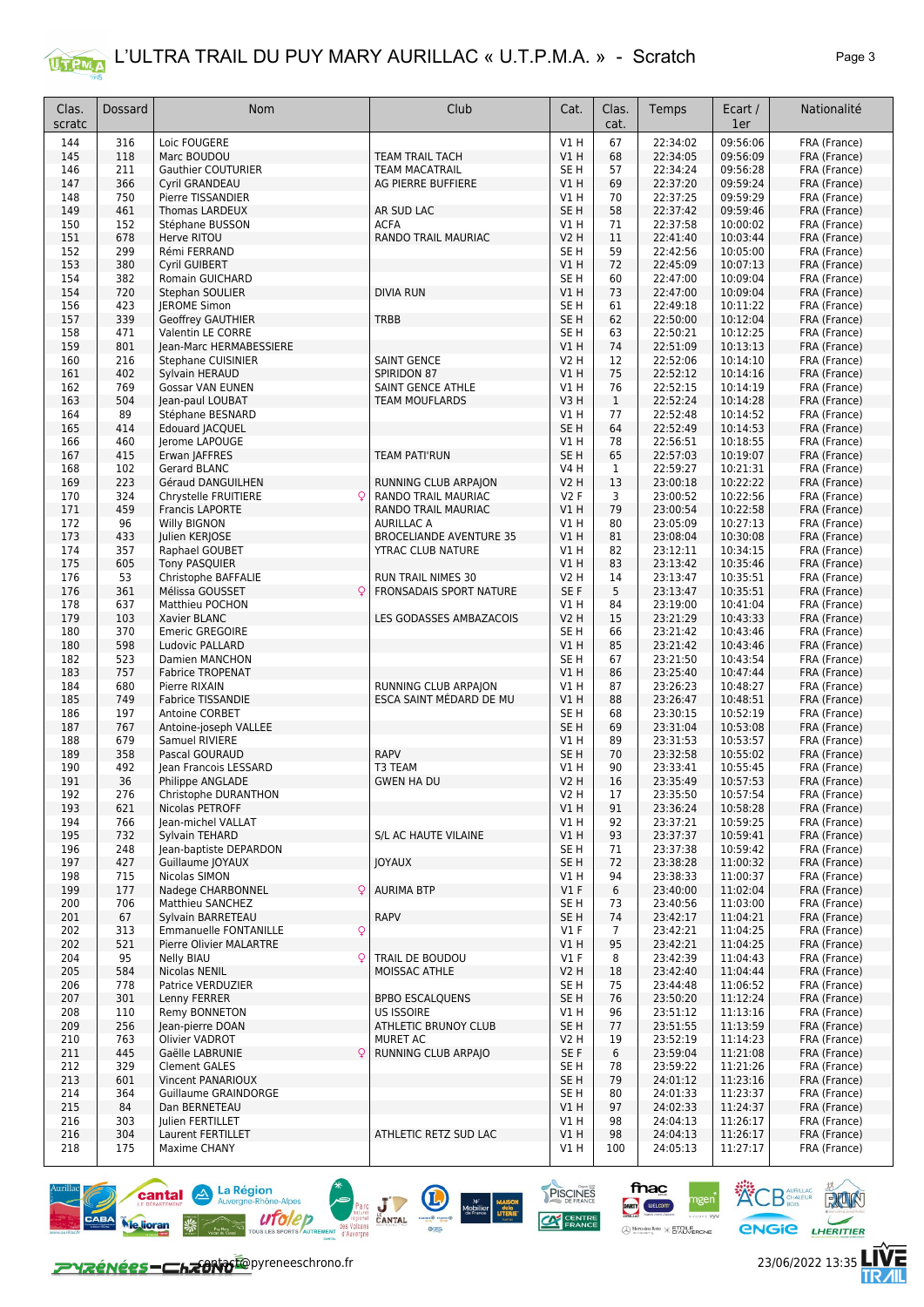

| Clas.<br>scratc | Dossard    | Nom                                              | Club                           | Cat.                    | Clas.<br>cat.      | Temps                | Ecart /<br>1er       | Nationalité                  |
|-----------------|------------|--------------------------------------------------|--------------------------------|-------------------------|--------------------|----------------------|----------------------|------------------------------|
| 144             | 316        | Loic FOUGERE                                     |                                | V1H                     | 67                 | 22:34:02             | 09:56:06             | FRA (France)                 |
| 145             | 118        | Marc BOUDOU                                      | <b>TEAM TRAIL TACH</b>         | V1H                     | 68                 | 22:34:05             | 09:56:09             | FRA (France)                 |
| 146             | 211        | <b>Gauthier COUTURIER</b>                        | <b>TEAM MACATRAIL</b>          | SE <sub>H</sub>         | 57                 | 22:34:24             | 09:56:28             | FRA (France)                 |
| 147             | 366        | <b>Cvril GRANDEAU</b>                            | AG PIERRE BUFFIERE             | V1H                     | 69                 | 22:37:20             | 09:59:24             | FRA (France)                 |
| 148             | 750        | Pierre TISSANDIER                                |                                | V1 H                    | 70                 | 22:37:25             | 09:59:29             | FRA (France)                 |
| 149             | 461        | Thomas LARDEUX                                   | AR SUD LAC                     | SE <sub>H</sub>         | 58                 | 22:37:42             | 09:59:46             | FRA (France)                 |
| 150             | 152        | Stéphane BUSSON                                  | <b>ACFA</b>                    | V1 H                    | 71                 | 22:37:58             | 10:00:02             | FRA (France)                 |
| 151<br>152      | 678<br>299 | Herve RITOU<br>Rémi FERRAND                      | RANDO TRAIL MAURIAC            | V2 H<br>SE <sub>H</sub> | 11<br>59           | 22:41:40<br>22:42:56 | 10:03:44<br>10:05:00 | FRA (France)                 |
| 153             | 380        | Cyril GUIBERT                                    |                                | V1H                     | 72                 | 22:45:09             | 10:07:13             | FRA (France)<br>FRA (France) |
| 154             | 382        | <b>Romain GUICHARD</b>                           |                                | SE <sub>H</sub>         | 60                 | 22:47:00             | 10:09:04             | FRA (France)                 |
| 154             | 720        | Stephan SOULIER                                  | <b>DIVIA RUN</b>               | VIH                     | 73                 | 22:47:00             | 10:09:04             | FRA (France)                 |
| 156             | 423        | <b>IEROME Simon</b>                              |                                | SE <sub>H</sub>         | 61                 | 22:49:18             | 10:11:22             | FRA (France)                 |
| 157             | 339        | <b>Geoffrey GAUTHIER</b>                         | <b>TRBB</b>                    | SE <sub>H</sub>         | 62                 | 22:50:00             | 10:12:04             | FRA (France)                 |
| 158             | 471        | Valentin LE CORRE                                |                                | SE <sub>H</sub>         | 63                 | 22:50:21             | 10:12:25             | FRA (France)                 |
| 159             | 801        | Jean-Marc HERMABESSIERE                          |                                | V1H                     | 74                 | 22:51:09             | 10:13:13             | FRA (France)                 |
| 160             | 216        | Stephane CUISINIER                               | <b>SAINT GENCE</b>             | <b>V2 H</b>             | 12                 | 22:52:06             | 10:14:10             | FRA (France)                 |
| 161             | 402        | Sylvain HERAUD                                   | <b>SPIRIDON 87</b>             | V1 H                    | 75                 | 22:52:12             | 10:14:16             | FRA (France)                 |
| 162             | 769        | <b>Gossar VAN EUNEN</b>                          | SAINT GENCE ATHLE              | V1 H                    | 76                 | 22:52:15             | 10:14:19             | FRA (France)                 |
| 163<br>164      | 504<br>89  | Jean-paul LOUBAT                                 | <b>TEAM MOUFLARDS</b>          | V3H                     | $\mathbf{1}$<br>77 | 22:52:24<br>22:52:48 | 10:14:28             | FRA (France)                 |
| 165             | 414        | Stéphane BESNARD<br><b>Edouard JACQUEL</b>       |                                | V1 H<br>SE <sub>H</sub> | 64                 | 22:52:49             | 10:14:52<br>10:14:53 | FRA (France)<br>FRA (France) |
| 166             | 460        | Jerome LAPOUGE                                   |                                | V1H                     | 78                 | 22:56:51             | 10:18:55             | FRA (France)                 |
| 167             | 415        | Erwan JAFFRES                                    | <b>TEAM PATI'RUN</b>           | SE <sub>H</sub>         | 65                 | 22:57:03             | 10:19:07             | FRA (France)                 |
| 168             | 102        | <b>Gerard BLANC</b>                              |                                | <b>V4 H</b>             | 1                  | 22:59:27             | 10:21:31             | FRA (France)                 |
| 169             | 223        | Géraud DANGUILHEN                                | RUNNING CLUB ARPAION           | <b>V2 H</b>             | 13                 | 23:00:18             | 10:22:22             | FRA (France)                 |
| 170             | 324        | Chrystelle FRUITIERE<br>Q                        | RANDO TRAIL MAURIAC            | V2F                     | 3                  | 23:00:52             | 10:22:56             | FRA (France)                 |
| 171             | 459        | <b>Francis LAPORTE</b>                           | RANDO TRAIL MAURIAC            | V1H                     | 79                 | 23:00:54             | 10:22:58             | FRA (France)                 |
| 172             | 96         | Willy BIGNON                                     | <b>AURILLAC A</b>              | V1 H                    | 80                 | 23:05:09             | 10:27:13             | FRA (France)                 |
| 173             | 433        | Julien KERJOSE                                   | <b>BROCELIANDE AVENTURE 35</b> | VIH                     | 81                 | 23:08:04             | 10:30:08             | FRA (France)                 |
| 174             | 357        | Raphael GOUBET                                   | <b>YTRAC CLUB NATURE</b>       | V1 H                    | 82                 | 23:12:11             | 10:34:15             | FRA (France)                 |
| 175             | 605        | <b>Tony PASQUIER</b>                             |                                | VIH                     | 83                 | 23:13:42             | 10:35:46             | FRA (France)                 |
| 176             | 53         | Christophe BAFFALIE                              | RUN TRAIL NIMES 30             | <b>V2 H</b>             | 14                 | 23:13:47             | 10:35:51             | FRA (France)                 |
| 176<br>178      | 361<br>637 | Mélissa GOUSSET<br>Q<br>Matthieu POCHON          | FRONSADAIS SPORT NATURE        | SE F<br>V1H             | 5<br>84            | 23:13:47<br>23:19:00 | 10:35:51<br>10:41:04 | FRA (France)<br>FRA (France) |
| 179             | 103        | Xavier BLANC                                     | LES GODASSES AMBAZACOIS        | <b>V2 H</b>             | 15                 | 23:21:29             | 10:43:33             | FRA (France)                 |
| 180             | 370        | <b>Emeric GREGOIRE</b>                           |                                | SE <sub>H</sub>         | 66                 | 23:21:42             | 10:43:46             | FRA (France)                 |
| 180             | 598        | Ludovic PALLARD                                  |                                | V1 H                    | 85                 | 23:21:42             | 10:43:46             | FRA (France)                 |
| 182             | 523        | Damien MANCHON                                   |                                | SE <sub>H</sub>         | 67                 | 23:21:50             | 10:43:54             | FRA (France)                 |
| 183             | 757        | <b>Fabrice TROPENAT</b>                          |                                | V1H                     | 86                 | 23:25:40             | 10:47:44             | FRA (France)                 |
| 184             | 680        | Pierre RIXAIN                                    | RUNNING CLUB ARPAION           | V1 H                    | 87                 | 23:26:23             | 10:48:27             | FRA (France)                 |
| 185             | 749        | <b>Fabrice TISSANDIE</b>                         | ESCA SAINT MÉDARD DE MU        | VIH                     | 88                 | 23:26:47             | 10:48:51             | FRA (France)                 |
| 186             | 197        | Antoine CORBET                                   |                                | SE H                    | 68                 | 23:30:15             | 10:52:19             | FRA (France)                 |
| 187             | 767        | Antoine-joseph VALLEE                            |                                | SE <sub>H</sub>         | 69                 | 23:31:04             | 10:53:08             | FRA (France)                 |
| 188             | 679<br>358 | Samuel RIVIERE                                   | <b>RAPV</b>                    | V1 H                    | 89                 | 23:31:53<br>23:32:58 | 10:53:57<br>10:55:02 | FRA (France)<br>FRA (France) |
| 189<br>190      | 492        | Pascal GOURAUD<br>Jean Francois LESSARD          | T3 TEAM                        | SE <sub>H</sub><br>V1 H | 70<br>90           | 23:33:41             | 10:55:45             | FRA (France)                 |
| 191             | 36         | Philippe ANGLADE                                 | <b>GWEN HA DU</b>              | <b>V2 H</b>             | 16                 | 23:35:49             | 10:57:53             | FRA (France)                 |
| 192             | 276        | Christophe DURANTHON                             |                                | VZ H                    | 17                 | 23:35:50             | 10:57:54             | FRA (France)                 |
| 193             | 621        | Nicolas PETROFF                                  |                                | V1H                     | 91                 | 23:36:24             | 10:58:28             | FRA (France)                 |
| 194             | 766        | Jean-michel VALLAT                               |                                | V1 H                    | 92                 | 23:37:21             | 10:59:25             | FRA (France)                 |
| 195             | 732        | Sylvain TEHARD                                   | S/L AC HAUTE VILAINE           | V1H                     | 93                 | 23:37:37             | 10:59:41             | FRA (France)                 |
| 196             | 248        | Jean-baptiste DEPARDON                           |                                | SE H                    | 71                 | 23:37:38             | 10:59:42             | FRA (France)                 |
| 197             | 427        | Guillaume JOYAUX                                 | <b>JOYAUX</b>                  | SE H                    | 72                 | 23:38:28             | 11:00:32             | FRA (France)                 |
| 198             | 715        | Nicolas SIMON                                    |                                | VIH                     | 94                 | 23:38:33             | 11:00:37             | FRA (France)                 |
| 199             | 177        | Nadege CHARBONNEL<br>$\mathsf{Q}$                | <b>AURIMA BTP</b>              | $VI$ F                  | 6                  | 23:40:00             | 11:02:04             | FRA (France)                 |
| 200<br>201      | 706<br>67  | Matthieu SANCHEZ<br>Sylvain BARRETEAU            | <b>RAPV</b>                    | SE H<br>SE H            | 73<br>74           | 23:40:56<br>23:42:17 | 11:03:00<br>11:04:21 | FRA (France)<br>FRA (France) |
| 202             | 313        | $\mathsf{Q}$<br><b>Emmanuelle FONTANILLE</b>     |                                | $VI$ F                  | $\overline{7}$     | 23:42:21             | 11:04:25             | FRA (France)                 |
| 202             | 521        | Pierre Olivier MALARTRE                          |                                | V1H                     | 95                 | 23:42:21             | 11:04:25             | FRA (France)                 |
| 204             | 95         | <b>Nelly BIAU</b><br>Q                           | TRAIL DE BOUDOU                | $VI$ F                  | 8                  | 23:42:39             | 11:04:43             | FRA (France)                 |
| 205             | 584        | <b>Nicolas NENIL</b>                             | MOISSAC ATHLE                  | V2 H                    | 18                 | 23:42:40             | 11:04:44             | FRA (France)                 |
| 206             | 778        | Patrice VERDUZIER                                |                                | SE H                    | 75                 | 23:44:48             | 11:06:52             | FRA (France)                 |
| 207             | 301        | Lenny FERRER                                     | <b>BPBO ESCALQUENS</b>         | SE H                    | 76                 | 23:50:20             | 11:12:24             | FRA (France)                 |
| 208             | 110        | Remy BONNETON                                    | <b>US ISSOIRE</b>              | V1 H                    | 96                 | 23:51:12             | 11:13:16             | FRA (France)                 |
| 209             | 256        | Jean-pierre DOAN                                 | <b>ATHLETIC BRUNOY CLUB</b>    | SE H                    | 77                 | 23:51:55             | 11:13:59             | FRA (France)                 |
| 210             | 763        | Olivier VADROT                                   | MURET AC                       | V2 H                    | 19                 | 23:52:19             | 11:14:23             | FRA (France)                 |
| 211             | 445        | Gaëlle LABRUNIE<br>Q                             | RUNNING CLUB ARPAJO            | SE F                    | 6                  | 23:59:04             | 11:21:08             | FRA (France)                 |
| 212             | 329        | <b>Clement GALES</b>                             |                                | SE H                    | 78                 | 23:59:22             | 11:21:26             | FRA (France)                 |
| 213<br>214      | 601<br>364 | <b>Vincent PANARIOUX</b><br>Guillaume GRAINDORGE |                                | SE <sub>H</sub><br>SE H | 79<br>80           | 24:01:12<br>24:01:33 | 11:23:16<br>11:23:37 | FRA (France)<br>FRA (France) |
| 215             | 84         | Dan BERNETEAU                                    |                                | VIH                     | 97                 | 24:02:33             | 11:24:37             | FRA (France)                 |
| 216             | 303        | Julien FERTILLET                                 |                                | V1 H                    | 98                 | 24:04:13             | 11:26:17             | FRA (France)                 |
| 216             | 304        | Laurent FERTILLET                                | ATHLETIC RETZ SUD LAC          | V1H                     | 98                 | 24:04:13             | 11:26:17             | FRA (France)                 |
| 218             | 175        | Maxime CHANY                                     |                                | V1 H                    | 100                | 24:05:13             | 11:27:17             | FRA (France)                 |
|                 |            |                                                  |                                |                         |                    |                      |                      |                              |

Parc J Mange Holland Mange Mange Mange Holland CANTAL THE MODEL DESCRIPTION OF THE MANGE



**CONTACT CONTACT** DYPERSES CONTACT CONTACT CONTACT 23/06/2022 13:35

**ENGIE LHERITIER** 

PUN

**ACB** AMRILLAC

fnac

 $\bigotimes$  Men

**WELCOM** 

Renz **X** ETOILE

PISCINES

 $\infty$ 

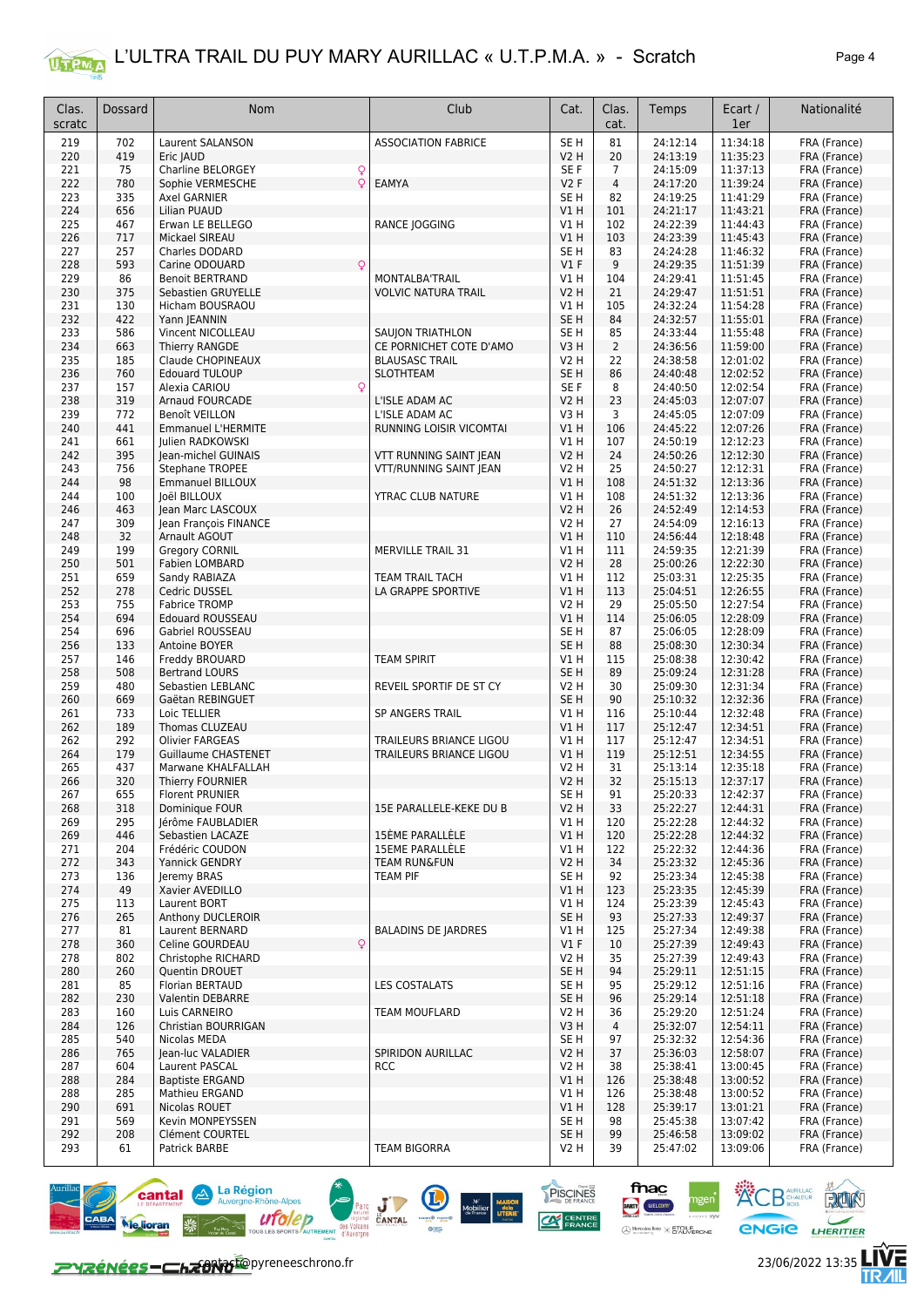

| Clas.<br>scratc | Dossard    | Nom                                         | Club                           | Cat.                    | Clas.<br>cat.  | Temps                | Ecart /<br>1er       | Nationalité                  |
|-----------------|------------|---------------------------------------------|--------------------------------|-------------------------|----------------|----------------------|----------------------|------------------------------|
| 219             | 702        | <b>Laurent SALANSON</b>                     | <b>ASSOCIATION FABRICE</b>     | SE <sub>H</sub>         | 81             | 24:12:14             | 11:34:18             | FRA (France)                 |
| 220             | 419        | Eric JAUD                                   |                                | V2 H                    | 20             | 24:13:19             | 11:35:23             | FRA (France)                 |
| 221             | 75         | Charline BELORGEY<br>Q                      |                                | SE F                    | 7              | 24:15:09             | 11:37:13             | FRA (France)                 |
| 222             | 780        | Q<br>Sophie VERMESCHE                       | EAMYA                          | V2F                     | $\overline{4}$ | 24:17:20             | 11:39:24             | FRA (France)                 |
| 223             | 335        | Axel GARNIER                                |                                | SE H                    | 82             | 24:19:25             | 11:41:29             | FRA (France)                 |
| 224             | 656        | Lilian PUAUD                                |                                | V1 H                    | 101            | 24:21:17             | 11:43:21             | FRA (France)                 |
| 225             | 467        | Erwan LE BELLEGO                            | RANCE JOGGING                  | V1 H                    | 102            | 24:22:39             | 11:44:43             | FRA (France)                 |
| 226<br>227      | 717<br>257 | Mickael SIREAU<br>Charles DODARD            |                                | V1 H<br>SE H            | 103<br>83      | 24:23:39<br>24:24:28 | 11:45:43<br>11:46:32 | FRA (France)<br>FRA (France) |
| 228             | 593        | Carine ODOUARD                              |                                | V1F                     | 9              | 24:29:35             | 11:51:39             | FRA (France)                 |
| 229             | 86         | <b>Benoit BERTRAND</b>                      | MONTALBA'TRAIL                 | V1 H                    | 104            | 24:29:41             | 11:51:45             | FRA (France)                 |
| 230             | 375        | Sebastien GRUYELLE                          | <b>VOLVIC NATURA TRAIL</b>     | V2 H                    | 21             | 24:29:47             | 11:51:51             | FRA (France)                 |
| 231             | 130        | Hicham BOUSRAOU                             |                                | V1 H                    | 105            | 24:32:24             | 11:54:28             | FRA (France)                 |
| 232             | 422        | Yann JEANNIN                                |                                | SE <sub>H</sub>         | 84             | 24:32:57             | 11:55:01             | FRA (France)                 |
| 233             | 586        | Vincent NICOLLEAU                           | SAUJON TRIATHLON               | SE H                    | 85             | 24:33:44             | 11:55:48             | FRA (France)                 |
| 234             | 663        | Thierry RANGDE                              | CE PORNICHET COTE D'AMO        | V3H                     | $\overline{2}$ | 24:36:56             | 11:59:00             | FRA (France)                 |
| 235             | 185        | Claude CHOPINEAUX                           | <b>BLAUSASC TRAIL</b>          | V2 H                    | 22             | 24:38:58             | 12:01:02             | FRA (France)                 |
| 236<br>237      | 760<br>157 | <b>Edouard TULOUP</b><br>Alexia CARIOU<br>Q | <b>SLOTHTEAM</b>               | SE H<br>SE F            | 86<br>8        | 24:40:48<br>24:40:50 | 12:02:52<br>12:02:54 | FRA (France)                 |
| 238             | 319        | <b>Arnaud FOURCADE</b>                      | L'ISLE ADAM AC                 | V2 H                    | 23             | 24:45:03             | 12:07:07             | FRA (France)<br>FRA (France) |
| 239             | 772        | Benoît VEILLON                              | L'ISLE ADAM AC                 | V3 H                    | 3              | 24:45:05             | 12:07:09             | FRA (France)                 |
| 240             | 441        | <b>Emmanuel L'HERMITE</b>                   | <b>RUNNING LOISIR VICOMTAI</b> | V1H                     | 106            | 24:45:22             | 12:07:26             | FRA (France)                 |
| 241             | 661        | <b>Iulien RADKOWSKI</b>                     |                                | V1 H                    | 107            | 24:50:19             | 12:12:23             | FRA (France)                 |
| 242             | 395        | Jean-michel GUINAIS                         | VTT RUNNING SAINT JEAN         | V2 H                    | 24             | 24:50:26             | 12:12:30             | FRA (France)                 |
| 243             | 756        | Stephane TROPEE                             | VTT/RUNNING SAINT JEAN         | V2 H                    | 25             | 24:50:27             | 12:12:31             | FRA (France)                 |
| 244             | 98         | <b>Emmanuel BILLOUX</b>                     |                                | V1H                     | 108            | 24:51:32             | 12:13:36             | FRA (France)                 |
| 244             | 100        | Joël BILLOUX                                | YTRAC CLUB NATURE              | V1 H                    | 108            | 24:51:32             | 12:13:36             | FRA (France)                 |
| 246             | 463<br>309 | Jean Marc LASCOUX                           |                                | V2 H                    | 26             | 24:52:49             | 12:14:53             | FRA (France)                 |
| 247<br>248      | 32         | Jean François FINANCE<br>Arnault AGOUT      |                                | V2 H<br>V1 H            | 27<br>110      | 24:54:09<br>24:56:44 | 12:16:13<br>12:18:48 | FRA (France)<br>FRA (France) |
| 249             | 199        | Gregory CORNIL                              | <b>MERVILLE TRAIL 31</b>       | V1 H                    | 111            | 24:59:35             | 12:21:39             | FRA (France)                 |
| 250             | 501        | Fabien LOMBARD                              |                                | <b>V2 H</b>             | 28             | 25:00:26             | 12:22:30             | FRA (France)                 |
| 251             | 659        | Sandy RABIAZA                               | <b>TEAM TRAIL TACH</b>         | <b>V1 H</b>             | 112            | 25:03:31             | 12:25:35             | FRA (France)                 |
| 252             | 278        | Cedric DUSSEL                               | LA GRAPPE SPORTIVE             | V1H                     | 113            | 25:04:51             | 12:26:55             | FRA (France)                 |
| 253             | 755        | <b>Fabrice TROMP</b>                        |                                | V2 H                    | 29             | 25:05:50             | 12:27:54             | FRA (France)                 |
| 254             | 694        | <b>Edouard ROUSSEAU</b>                     |                                | V1 H                    | 114            | 25:06:05             | 12:28:09             | FRA (France)                 |
| 254             | 696        | Gabriel ROUSSEAU                            |                                | SE H                    | 87             | 25:06:05             | 12:28:09             | FRA (France)                 |
| 256             | 133        | Antoine BOYER                               |                                | SE <sub>H</sub>         | 88             | 25:08:30             | 12:30:34             | FRA (France)                 |
| 257<br>258      | 146<br>508 | Freddy BROUARD<br><b>Bertrand LOURS</b>     | <b>TEAM SPIRIT</b>             | V1 H<br>SE H            | 115<br>89      | 25:08:38<br>25:09:24 | 12:30:42<br>12:31:28 | FRA (France)<br>FRA (France) |
| 259             | 480        | Sebastien LEBLANC                           | REVEIL SPORTIF DE ST CY        | V2 H                    | 30             | 25:09:30             | 12:31:34             | FRA (France)                 |
| 260             | 669        | Gaëtan REBINGUET                            |                                | SE H                    | 90             | 25:10:32             | 12:32:36             | FRA (France)                 |
| 261             | 733        | Loic TELLIER                                | SP ANGERS TRAIL                | V1 H                    | 116            | 25:10:44             | 12:32:48             | FRA (France)                 |
| 262             | 189        | Thomas CLUZEAU                              |                                | V1 H                    | 117            | 25:12:47             | 12:34:51             | FRA (France)                 |
| 262             | 292        | <b>Olivier FARGEAS</b>                      | TRAILEURS BRIANCE LIGOU        | <b>V1 H</b>             | 117            | 25:12:47             | 12:34:51             | FRA (France)                 |
| 264             | 179        | <b>Guillaume CHASTENET</b>                  | TRAILEURS BRIANCE LIGOU        | V1 H                    | 119            | 25:12:51             | 12:34:55             | FRA (France)                 |
| 265             | 437        | Marwane KHALFALLAH                          |                                | V2 H                    | 31             | 25:13:14             | 12:35:18             | FRA (France)                 |
| 266             | 320        | Thierry FOURNIER                            |                                | V2 H                    | 32             | 25:15:13             | 12:37:17             | FRA (France)                 |
| 267<br>268      | 655<br>318 | Florent PRUNIER<br>Dominique FOUR           | 15E PARALLELE-KEKE DU B        | SE H<br><b>V2 H</b>     | 91<br>33       | 25:20:33<br>25:22:27 | 12:42:37<br>12:44:31 | FRA (France)<br>FRA (France) |
| 269             | 295        | Jérôme FAUBLADIER                           |                                | V1 H                    | 120            | 25:22:28             | 12:44:32             | FRA (France)                 |
| 269             | 446        | Sebastien LACAZE                            | 15ÈME PARALLÈLE                | V1H                     | 120            | 25:22:28             | 12:44:32             | FRA (France)                 |
| 271             | 204        | Frédéric COUDON                             | 15EME PARALLÈLE                | VIH                     | 122            | 25:22:32             | 12:44:36             | FRA (France)                 |
| 272             | 343        | Yannick GENDRY                              | <b>TEAM RUN&amp;FUN</b>        | V2 H                    | 34             | 25:23:32             | 12:45:36             | FRA (France)                 |
| 273             | 136        | Jeremy BRAS                                 | TEAM PIF                       | SE H                    | 92             | 25:23:34             | 12:45:38             | FRA (France)                 |
| 274             | 49         | Xavier AVEDILLO                             |                                | V1H                     | 123            | 25:23:35             | 12:45:39             | FRA (France)                 |
| 275             | 113        | Laurent BORT                                |                                | V1 H                    | 124            | 25:23:39             | 12:45:43             | FRA (France)                 |
| 276<br>277      | 265<br>81  | Anthony DUCLEROIR<br>Laurent BERNARD        | <b>BALADINS DE JARDRES</b>     | SE <sub>H</sub><br>V1 H | 93<br>125      | 25:27:33<br>25:27:34 | 12:49:37<br>12:49:38 | FRA (France)<br>FRA (France) |
| 278             | 360        | $\mathsf{Q}$<br>Celine GOURDEAU             |                                | $VI$ F                  | 10             | 25:27:39             | 12:49:43             | FRA (France)                 |
| 278             | 802        | Christophe RICHARD                          |                                | V2 H                    | 35             | 25:27:39             | 12:49:43             | FRA (France)                 |
| 280             | 260        | Quentin DROUET                              |                                | SE H                    | 94             | 25:29:11             | 12:51:15             | FRA (France)                 |
| 281             | 85         | Florian BERTAUD                             | <b>LES COSTALATS</b>           | SE H                    | 95             | 25:29:12             | 12:51:16             | FRA (France)                 |
| 282             | 230        | Valentin DEBARRE                            |                                | SE H                    | 96             | 25:29:14             | 12:51:18             | FRA (France)                 |
| 283             | 160        | Luis CARNEIRO                               | TEAM MOUFLARD                  | V2 H                    | 36             | 25:29:20             | 12:51:24             | FRA (France)                 |
| 284             | 126        | Christian BOURRIGAN                         |                                | V3 H                    | 4              | 25:32:07             | 12:54:11             | FRA (France)                 |
| 285             | 540        | Nicolas MEDA                                |                                | SE H                    | 97             | 25:32:32             | 12:54:36             | FRA (France)                 |
| 286             | 765        | Jean-luc VALADIER                           | SPIRIDON AURILLAC              | V2 H                    | 37             | 25:36:03             | 12:58:07             | FRA (France)                 |
| 287<br>288      | 604<br>284 | Laurent PASCAL<br><b>Baptiste ERGAND</b>    | <b>RCC</b>                     | V2 H<br>V1 H            | 38<br>126      | 25:38:41<br>25:38:48 | 13:00:45<br>13:00:52 | FRA (France)<br>FRA (France) |
| 288             | 285        | Mathieu ERGAND                              |                                | V1 H                    | 126            | 25:38:48             | 13:00:52             | FRA (France)                 |
| 290             | 691        | Nicolas ROUET                               |                                | V1 H                    | 128            | 25:39:17             | 13:01:21             | FRA (France)                 |
| 291             | 569        | Kevin MONPEYSSEN                            |                                | SE H                    | 98             | 25:45:38             | 13:07:42             | FRA (France)                 |
| 292             | 208        | Clément COURTEL                             |                                | SE <sub>H</sub>         | 99             | 25:46:58             | 13:09:02             | FRA (France)                 |
| 293             | 61         | Patrick BARBE                               | <b>TEAM BIGORRA</b>            | V2 H                    | 39             | 25:47:02             | 13:09:06             | FRA (France)                 |





fnac

DARTY **WELCOM** 

PISCINES

 $\infty$